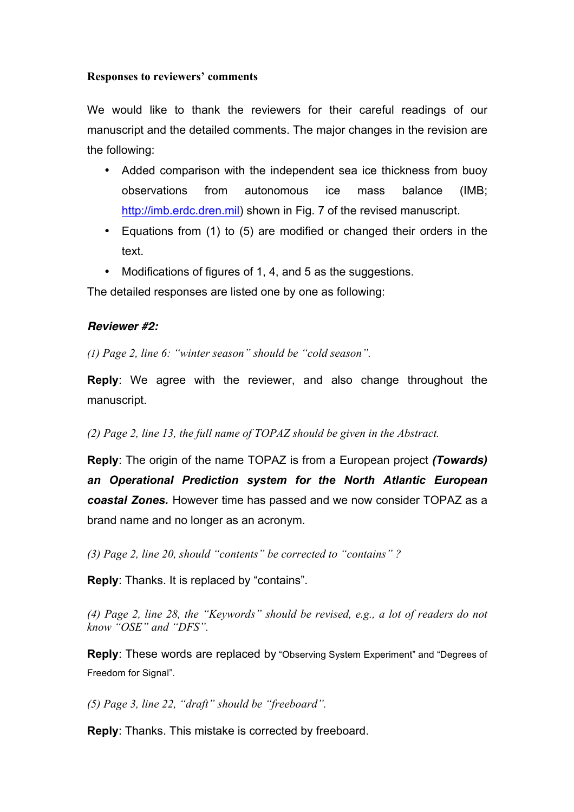## **Responses to reviewers' comments**

We would like to thank the reviewers for their careful readings of our manuscript and the detailed comments. The major changes in the revision are the following:

- Added comparison with the independent sea ice thickness from buoy observations from autonomous ice mass balance (IMB; http://imb.erdc.dren.mil) shown in Fig. 7 of the revised manuscript.
- Equations from (1) to (5) are modified or changed their orders in the text.
- Modifications of figures of 1, 4, and 5 as the suggestions.

The detailed responses are listed one by one as following:

## *Reviewer #2:*

*(1) Page 2, line 6: "winter season" should be "cold season".* 

**Reply**: We agree with the reviewer, and also change throughout the manuscript.

*(2) Page 2, line 13, the full name of TOPAZ should be given in the Abstract.* 

**Reply**: The origin of the name TOPAZ is from a European project *(Towards) an Operational Prediction system for the North Atlantic European coastal Zones.* However time has passed and we now consider TOPAZ as a brand name and no longer as an acronym.

*(3) Page 2, line 20, should "contents" be corrected to "contains" ?*

**Reply**: Thanks. It is replaced by "contains".

*(4) Page 2, line 28, the "Keywords" should be revised, e.g., a lot of readers do not know "OSE" and "DFS".* 

**Reply**: These words are replaced by "Observing System Experiment" and "Degrees of Freedom for Signal".

*(5) Page 3, line 22, "draft" should be "freeboard".*

**Reply**: Thanks. This mistake is corrected by freeboard.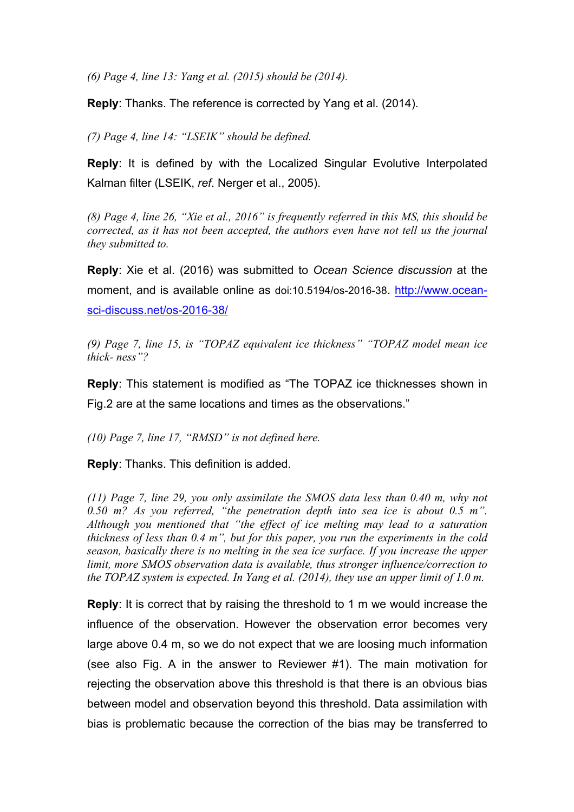*(6) Page 4, line 13: Yang et al. (2015) should be (2014).* 

**Reply**: Thanks. The reference is corrected by Yang et al. (2014).

*(7) Page 4, line 14: "LSEIK" should be defined.* 

**Reply**: It is defined by with the Localized Singular Evolutive Interpolated Kalman filter (LSEIK, *ref*. Nerger et al., 2005).

*(8) Page 4, line 26, "Xie et al., 2016" is frequently referred in this MS, this should be corrected, as it has not been accepted, the authors even have not tell us the journal they submitted to.* 

**Reply**: Xie et al. (2016) was submitted to *Ocean Science discussion* at the moment, and is available online as doi:10.5194/os-2016-38. http://www.oceansci-discuss.net/os-2016-38/

*(9) Page 7, line 15, is "TOPAZ equivalent ice thickness" "TOPAZ model mean ice thick- ness"?* 

**Reply**: This statement is modified as "The TOPAZ ice thicknesses shown in Fig.2 are at the same locations and times as the observations."

*(10) Page 7, line 17, "RMSD" is not defined here.* 

**Reply**: Thanks. This definition is added.

*(11) Page 7, line 29, you only assimilate the SMOS data less than 0.40 m, why not 0.50 m? As you referred, "the penetration depth into sea ice is about 0.5 m". Although you mentioned that "the effect of ice melting may lead to a saturation thickness of less than 0.4 m", but for this paper, you run the experiments in the cold season, basically there is no melting in the sea ice surface. If you increase the upper limit, more SMOS observation data is available, thus stronger influence/correction to the TOPAZ system is expected. In Yang et al. (2014), they use an upper limit of 1.0 m.* 

**Reply**: It is correct that by raising the threshold to 1 m we would increase the influence of the observation. However the observation error becomes very large above 0.4 m, so we do not expect that we are loosing much information (see also Fig. A in the answer to Reviewer #1). The main motivation for rejecting the observation above this threshold is that there is an obvious bias between model and observation beyond this threshold. Data assimilation with bias is problematic because the correction of the bias may be transferred to